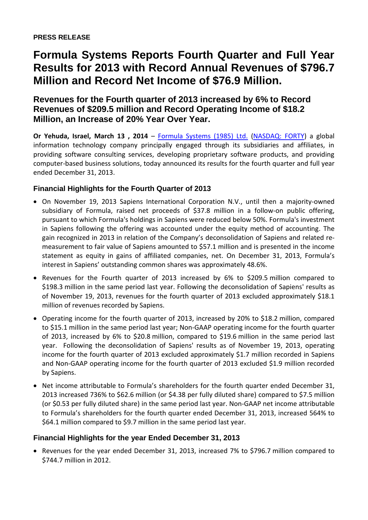# **Formula Systems Reports Fourth Quarter and Full Year Results for 2013 with Record Annual Revenues of \$796.7 Million and Record Net Income of \$76.9 Million.**

# **Revenues for the Fourth quarter of 2013 increased by 6% to Record Revenues of \$209.5 million and Record Operating Income of \$18.2 Million, an Increase of 20% Year Over Year.**

**Or Yehuda, Israel, March 13 , 2014** – [Formula Systems \(1985\) Ltd.](http://www.formulasystems.com/) [\(NASDAQ:](http://www.nasdaq.com/symbol/forty) FORTY) a global information technology company principally engaged through its subsidiaries and affiliates, in providing software consulting services, developing proprietary software products, and providing computer-based business solutions, today announced its results for the fourth quarter and full year ended December 31, 2013.

## **Financial Highlights for the Fourth Quarter of 2013**

- On November 19, 2013 Sapiens International Corporation N.V., until then a majority-owned subsidiary of Formula, raised net proceeds of \$37.8 million in a follow-on public offering, pursuant to which Formula's holdings in Sapiens were reduced below 50%. Formula's investment in Sapiens following the offering was accounted under the equity method of accounting. The gain recognized in 2013 in relation of the Company's deconsolidation of Sapiens and related remeasurement to fair value of Sapiens amounted to \$57.1 million and is presented in the income statement as equity in gains of affiliated companies, net. On December 31, 2013, Formula's interest in Sapiens' outstanding common shares was approximately 48.6%.
- Revenues for the Fourth quarter of 2013 increased by 6% to \$209.5 million compared to \$198.3 million in the same period last year. Following the deconsolidation of Sapiens' results as of November 19, 2013, revenues for the fourth quarter of 2013 excluded approximately \$18.1 million of revenues recorded by Sapiens.
- Operating income for the fourth quarter of 2013, increased by 20% to \$18.2 million, compared to \$15.1 million in the same period last year; Non-GAAP operating income for the fourth quarter of 2013, increased by 6% to \$20.8 million, compared to \$19.6 million in the same period last year. Following the deconsolidation of Sapiens' results as of November 19, 2013, operating income for the fourth quarter of 2013 excluded approximately \$1.7 million recorded in Sapiens and Non-GAAP operating income for the fourth quarter of 2013 excluded \$1.9 million recorded by Sapiens.
- Net income attributable to Formula's shareholders for the fourth quarter ended December 31, 2013 increased 736% to \$62.6 million (or \$4.38 per fully diluted share) compared to \$7.5 million (or \$0.53 per fully diluted share) in the same period last year. Non-GAAP net income attributable to Formula's shareholders for the fourth quarter ended December 31, 2013, increased 564% to \$64.1 million compared to \$9.7 million in the same period last year.

## **Financial Highlights for the year Ended December 31, 2013**

 Revenues for the year ended December 31, 2013, increased 7% to \$796.7 million compared to \$744.7 million in 2012.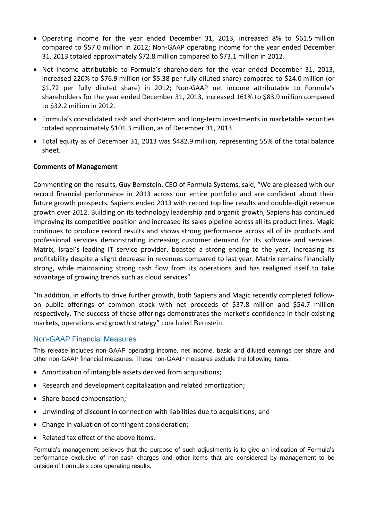- Operating income for the year ended December 31, 2013, increased 8% to \$61.5 million compared to \$57.0 million in 2012; Non-GAAP operating income for the year ended December 31, 2013 totaled approximately \$72.8 million compared to \$73.1 million in 2012.
- Net income attributable to Formula's shareholders for the year ended December 31, 2013, increased 220% to \$76.9 million (or \$5.38 per fully diluted share) compared to \$24.0 million (or \$1.72 per fully diluted share) in 2012; Non-GAAP net income attributable to Formula's shareholders for the year ended December 31, 2013, increased 161% to \$83.9 million compared to \$32.2 million in 2012.
- Formula's consolidated cash and short-term and long-term investments in marketable securities totaled approximately \$101.3 million, as of December 31, 2013.
- Total equity as of December 31, 2013 was \$482.9 million, representing 55% of the total balance sheet.

### **Comments of Management**

Commenting on the results, Guy Bernstein, CEO of Formula Systems, said, "We are pleased with our record financial performance in 2013 across our entire portfolio and are confident about their future growth prospects. Sapiens ended 2013 with record top line results and double-digit revenue growth over 2012. Building on its technology leadership and organic growth, Sapiens has continued improving its competitive position and increased its sales pipeline across all its product lines. Magic continues to produce record results and shows strong performance across all of its products and professional services demonstrating increasing customer demand for its software and services. Matrix, Israel's leading IT service provider, boasted a strong ending to the year, increasing its profitability despite a slight decrease in revenues compared to last year. Matrix remains financially strong, while maintaining strong cash flow from its operations and has realigned itself to take advantage of growing trends such as cloud services"

"In addition, in efforts to drive further growth, both Sapiens and Magic recently completed followon public offerings of common stock with net proceeds of \$37.8 million and \$54.7 million respectively. The success of these offerings demonstrates the market's confidence in their existing markets, operations and growth strategy" concluded Bernstein.

## Non-GAAP Financial Measures

This release includes non-GAAP operating income, net income, basic and diluted earnings per share and other non-GAAP financial measures. These non-GAAP measures exclude the following items:

- Amortization of intangible assets derived from acquisitions;
- Research and development capitalization and related amortization;
- Share-based compensation;
- Unwinding of discount in connection with liabilities due to acquisitions; and
- Change in valuation of contingent consideration;
- Related tax effect of the above items.

Formula's management believes that the purpose of such adjustments is to give an indication of Formula's performance exclusive of non-cash charges and other items that are considered by management to be outside of Formula's core operating results.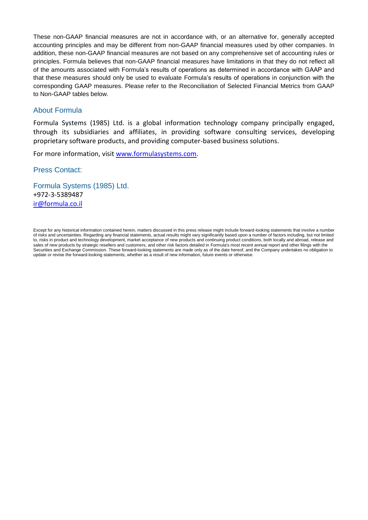These non-GAAP financial measures are not in accordance with, or an alternative for, generally accepted accounting principles and may be different from non-GAAP financial measures used by other companies. In addition, these non-GAAP financial measures are not based on any comprehensive set of accounting rules or principles. Formula believes that non-GAAP financial measures have limitations in that they do not reflect all of the amounts associated with Formula's results of operations as determined in accordance with GAAP and that these measures should only be used to evaluate Formula's results of operations in conjunction with the corresponding GAAP measures. Please refer to the Reconciliation of Selected Financial Metrics from GAAP to Non-GAAP tables below.

#### About Formula

Formula Systems (1985) Ltd. is a global information technology company principally engaged, through its subsidiaries and affiliates, in providing software consulting services, developing proprietary software products, and providing computer-based business solutions.

For more information, visit [www.formulasystems.com.](http://www.formulasystems.com/)

#### Press Contact:

Formula Systems (1985) Ltd. +972-3-5389487 [ir@formula.co.il](mailto:ir@formula.co.il)

Except for any historical information contained herein, matters discussed in this press release might include forward-looking statements that involve a number of risks and uncertainties. Regarding any financial statements, actual results might vary significantly based upon a number of factors including, but not limited to, risks in product and technology development, market acceptance of new products and continuing product conditions, both locally and abroad, release and sales of new products by strategic resellers and customers, and other risk factors detailed in Formula's most recent annual report and other filings with the Securities and Exchange Commission. These forward-looking statements are made only as of the date hereof, and the Company undertakes no obligation to update or revise the forward-looking statements, whether as a result of new information, future events or otherwise.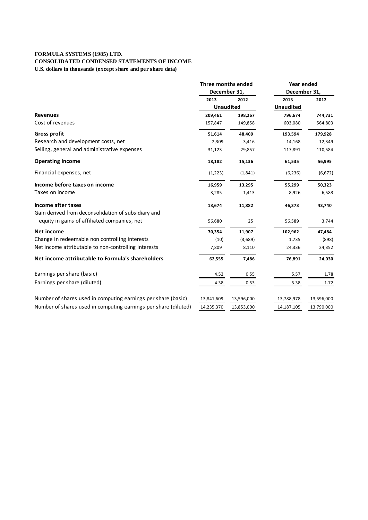#### **FORMULA SYSTEMS (1985) LTD. CONSOLIDATED CONDENSED STATEMENTS OF INCOME U.S. dollars in thousands (except share and per share data)**

|                                                                 | Three months ended<br>December 31, |            | Year ended<br>December 31, |            |
|-----------------------------------------------------------------|------------------------------------|------------|----------------------------|------------|
|                                                                 |                                    |            |                            |            |
|                                                                 | 2013                               | 2012       | 2013                       | 2012       |
|                                                                 | <b>Unaudited</b>                   |            | <b>Unaudited</b>           |            |
| <b>Revenues</b>                                                 | 209,461                            | 198,267    | 796,674                    | 744,731    |
| Cost of revenues                                                | 157,847                            | 149,858    | 603,080                    | 564,803    |
| <b>Gross profit</b>                                             | 51,614                             | 48,409     | 193,594                    | 179,928    |
| Research and development costs, net                             | 2,309                              | 3,416      | 14,168                     | 12,349     |
| Selling, general and administrative expenses                    | 31,123                             | 29,857     | 117,891                    | 110,584    |
| <b>Operating income</b>                                         | 18,182                             | 15,136     | 61,535                     | 56,995     |
| Financial expenses, net                                         | (1,223)                            | (1,841)    | (6, 236)                   | (6,672)    |
| Income before taxes on income                                   | 16,959                             | 13,295     | 55,299                     | 50,323     |
| Taxes on income                                                 | 3,285                              | 1,413      | 8,926                      | 6,583      |
| <b>Income after taxes</b>                                       | 13,674                             | 11,882     | 46,373                     | 43,740     |
| Gain derived from deconsolidation of subsidiary and             |                                    |            |                            |            |
| equity in gains of affiliated companies, net                    | 56,680                             | 25         | 56,589                     | 3,744      |
| <b>Net income</b>                                               | 70,354                             | 11,907     | 102,962                    | 47,484     |
| Change in redeemable non controlling interests                  | (10)                               | (3,689)    | 1,735                      | (898)      |
| Net income attributable to non-controlling interests            | 7,809                              | 8,110      | 24,336                     | 24,352     |
| Net income attributable to Formula's shareholders               | 62,555                             | 7,486      | 76,891                     | 24,030     |
| Earnings per share (basic)                                      | 4.52                               | 0.55       | 5.57                       | 1.78       |
| Earnings per share (diluted)                                    | 4.38                               | 0.53       | 5.38                       | 1.72       |
| Number of shares used in computing earnings per share (basic)   | 13,841,609                         | 13,596,000 | 13,788,978                 | 13,596,000 |
| Number of shares used in computing earnings per share (diluted) | 14,235,370                         | 13,853,000 | 14,187,105                 | 13,790,000 |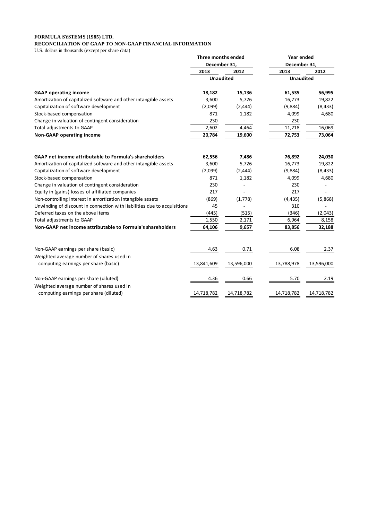#### **FORMULA SYSTEMS (1985) LTD. RECONCILIATION OF GAAP TO NON-GAAP FINANCIAL INFORMATION**

U.S. dollars in thousands (except per share data)

|                                                                          | Three months ended<br>December 31, |            |            | Year ended<br>December 31, |  |
|--------------------------------------------------------------------------|------------------------------------|------------|------------|----------------------------|--|
|                                                                          |                                    |            |            |                            |  |
|                                                                          | 2013                               | 2012       | 2013       | 2012                       |  |
|                                                                          | <b>Unaudited</b>                   |            |            | <b>Unaudited</b>           |  |
| <b>GAAP</b> operating income                                             | 18,182                             | 15,136     | 61,535     | 56,995                     |  |
| Amortization of capitalized software and other intangible assets         | 3,600                              | 5,726      | 16,773     | 19,822                     |  |
| Capitalization of software development                                   | (2,099)                            | (2, 444)   | (9,884)    | (8, 433)                   |  |
| Stock-based compensation                                                 | 871                                | 1,182      | 4,099      | 4,680                      |  |
| Change in valuation of contingent consideration                          | 230                                |            | 230        |                            |  |
| Total adjustments to GAAP                                                | 2,602                              | 4,464      | 11,218     | 16,069                     |  |
| <b>Non-GAAP operating income</b>                                         | 20,784                             | 19,600     | 72,753     | 73,064                     |  |
| <b>GAAP net income attributable to Formula's shareholders</b>            | 62,556                             | 7,486      | 76,892     | 24,030                     |  |
| Amortization of capitalized software and other intangible assets         | 3,600                              | 5,726      | 16,773     | 19,822                     |  |
| Capitalization of software development                                   | (2,099)                            | (2, 444)   | (9,884)    | (8, 433)                   |  |
| Stock-based compensation                                                 | 871                                | 1,182      | 4,099      | 4,680                      |  |
| Change in valuation of contingent consideration                          | 230                                |            | 230        |                            |  |
| Equity in (gains) losses of affiliated companies                         | 217                                |            | 217        |                            |  |
| Non-controlling interest in amortization intangible assets               | (869)                              | (1,778)    | (4, 435)   | (5,868)                    |  |
| Unwinding of discount in connection with liabilities due to acquisitions | 45                                 |            | 310        |                            |  |
| Deferred taxes on the above items                                        | (445)                              | (515)      | (346)      | (2,043)                    |  |
| Total adjustments to GAAP                                                | 1,550                              | 2,171      | 6,964      | 8,158                      |  |
| Non-GAAP net income attributable to Formula's shareholders               | 64,106                             | 9,657      | 83,856     | 32,188                     |  |
|                                                                          |                                    |            |            |                            |  |
| Non-GAAP earnings per share (basic)                                      | 4.63                               | 0.71       | 6.08       | 2.37                       |  |
| Weighted average number of shares used in                                |                                    |            |            |                            |  |
| computing earnings per share (basic)                                     | 13,841,609                         | 13,596,000 | 13,788,978 | 13,596,000                 |  |
| Non-GAAP earnings per share (diluted)                                    | 4.36                               | 0.66       | 5.70       | 2.19                       |  |
| Weighted average number of shares used in                                |                                    |            |            |                            |  |
| computing earnings per share (diluted)                                   | 14,718,782                         | 14,718,782 | 14,718,782 | 14,718,782                 |  |